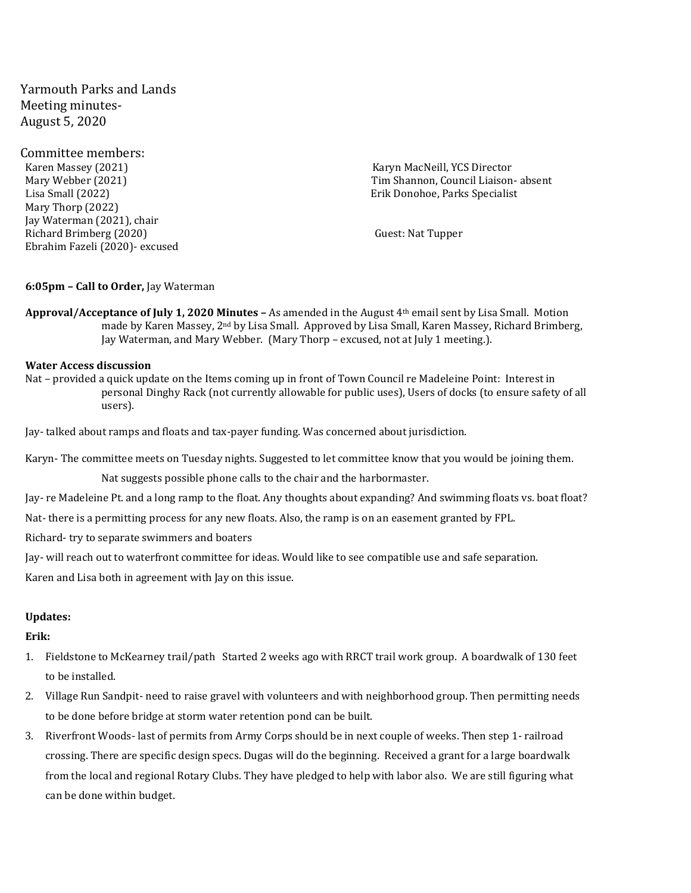Yarmouth Parks and Lands Meeting minutes-August 5, 2020

Committee members: Karen Massey (2021) Karyn MacNeill, YCS Director Lisa Small (2022) Erik Donohoe, Parks Specialist Mary Thorp (2022) Jay Waterman (2021), chair Richard Brimberg (2020) Guest: Nat Tupper Ebrahim Fazeli (2020)- excused

Mary Webber (2021) Tim Shannon, Council Liaison- absent

### **6:05pm – Call to Order,** Jay Waterman

**Approval/Acceptance of July 1, 2020 Minutes –** As amended in the August 4th email sent by Lisa Small. Motion made by Karen Massey,  $2^{nd}$  by Lisa Small. Approved by Lisa Small, Karen Massey, Richard Brimberg, Jay Waterman, and Mary Webber. (Mary Thorp – excused, not at July 1 meeting.).

### **Water Access discussion**

Nat – provided a quick update on the Items coming up in front of Town Council re Madeleine Point: Interest in personal Dinghy Rack (not currently allowable for public uses), Users of docks (to ensure safety of all users).

Jay- talked about ramps and floats and tax-payer funding. Was concerned about jurisdiction.

Karyn- The committee meets on Tuesday nights. Suggested to let committee know that you would be joining them.

Nat suggests possible phone calls to the chair and the harbormaster.

Jay- re Madeleine Pt. and a long ramp to the float. Any thoughts about expanding? And swimming floats vs. boat float?

Nat- there is a permitting process for any new floats. Also, the ramp is on an easement granted by FPL.

Richard- try to separate swimmers and boaters

Jay- will reach out to waterfront committee for ideas. Would like to see compatible use and safe separation.

Karen and Lisa both in agreement with Jay on this issue.

## **Updates:**

#### **Erik:**

- 1. Fieldstone to McKearney trail/path Started 2 weeks ago with RRCT trail work group. A boardwalk of 130 feet to be installed.
- 2. Village Run Sandpit- need to raise gravel with volunteers and with neighborhood group. Then permitting needs to be done before bridge at storm water retention pond can be built.
- 3. Riverfront Woods- last of permits from Army Corps should be in next couple of weeks. Then step 1- railroad crossing. There are specific design specs. Dugas will do the beginning. Received a grant for a large boardwalk from the local and regional Rotary Clubs. They have pledged to help with labor also. We are still figuring what can be done within budget.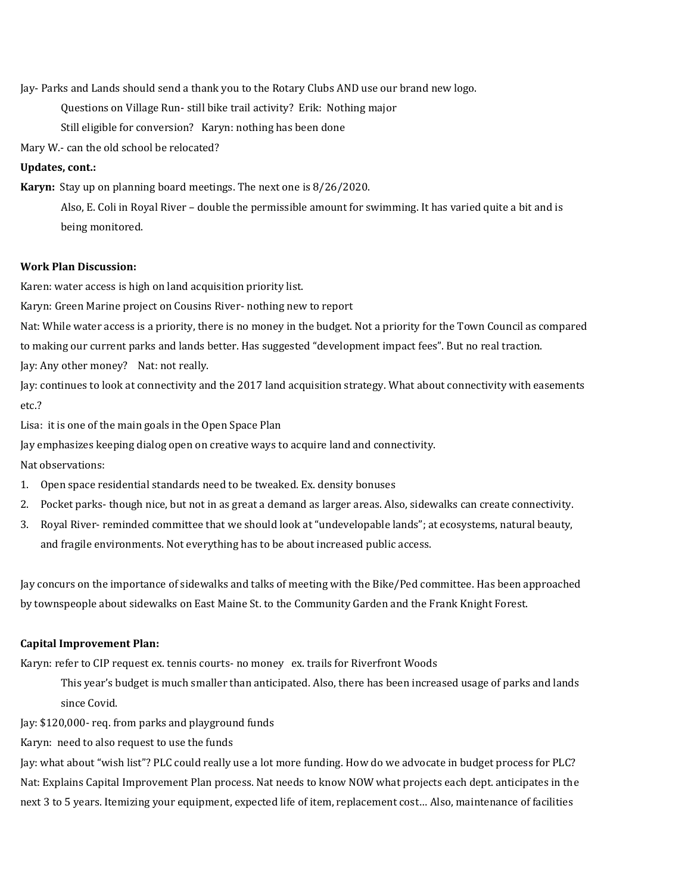Jay- Parks and Lands should send a thank you to the Rotary Clubs AND use our brand new logo.

Questions on Village Run- still bike trail activity? Erik: Nothing major

Still eligible for conversion? Karyn: nothing has been done

Mary W.- can the old school be relocated?

## **Updates, cont.:**

**Karyn:** Stay up on planning board meetings. The next one is 8/26/2020.

Also, E. Coli in Royal River – double the permissible amount for swimming. It has varied quite a bit and is being monitored.

# **Work Plan Discussion:**

Karen: water access is high on land acquisition priority list.

Karyn: Green Marine project on Cousins River- nothing new to report

Nat: While water access is a priority, there is no money in the budget. Not a priority for the Town Council as compared

to making our current parks and lands better. Has suggested "development impact fees". But no real traction.

Jay: Any other money? Nat: not really.

Jay: continues to look at connectivity and the 2017 land acquisition strategy. What about connectivity with easements etc.?

Lisa: it is one of the main goals in the Open Space Plan

Jay emphasizes keeping dialog open on creative ways to acquire land and connectivity.

Nat observations:

- 1. Open space residential standards need to be tweaked. Ex. density bonuses
- 2. Pocket parks- though nice, but not in as great a demand as larger areas. Also, sidewalks can create connectivity.
- 3. Royal River- reminded committee that we should look at "undevelopable lands"; at ecosystems, natural beauty, and fragile environments. Not everything has to be about increased public access.

Jay concurs on the importance of sidewalks and talks of meeting with the Bike/Ped committee. Has been approached by townspeople about sidewalks on East Maine St. to the Community Garden and the Frank Knight Forest.

### **Capital Improvement Plan:**

Karyn: refer to CIP request ex. tennis courts- no money ex. trails for Riverfront Woods

This year's budget is much smaller than anticipated. Also, there has been increased usage of parks and lands since Covid.

Jay: \$120,000- req. from parks and playground funds

Karyn: need to also request to use the funds

Jay: what about "wish list"? PLC could really use a lot more funding. How do we advocate in budget process for PLC? Nat: Explains Capital Improvement Plan process. Nat needs to know NOW what projects each dept. anticipates in the next 3 to 5 years. Itemizing your equipment, expected life of item, replacement cost… Also, maintenance of facilities